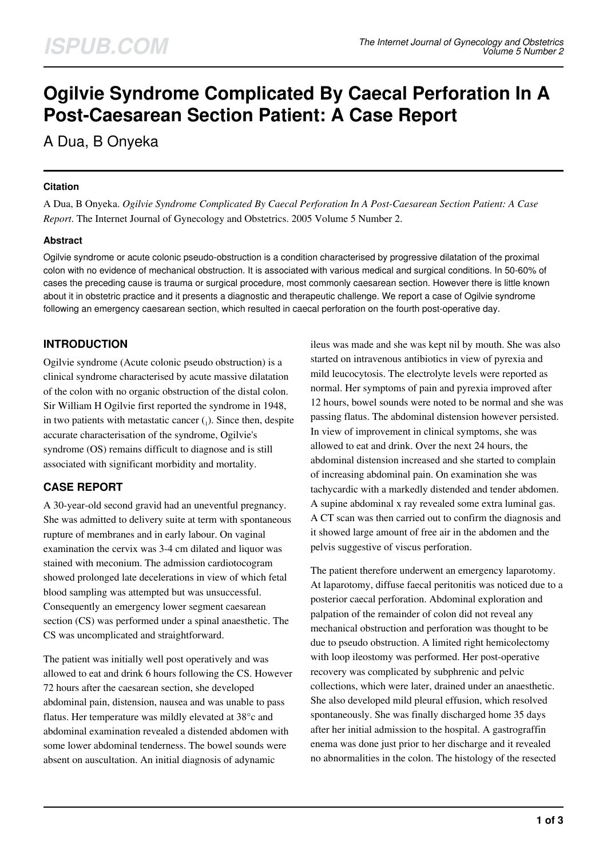# **Ogilvie Syndrome Complicated By Caecal Perforation In A Post-Caesarean Section Patient: A Case Report**

# A Dua, B Onyeka

#### **Citation**

A Dua, B Onyeka. *Ogilvie Syndrome Complicated By Caecal Perforation In A Post-Caesarean Section Patient: A Case Report*. The Internet Journal of Gynecology and Obstetrics. 2005 Volume 5 Number 2.

#### **Abstract**

Ogilvie syndrome or acute colonic pseudo-obstruction is a condition characterised by progressive dilatation of the proximal colon with no evidence of mechanical obstruction. It is associated with various medical and surgical conditions. In 50-60% of cases the preceding cause is trauma or surgical procedure, most commonly caesarean section. However there is little known about it in obstetric practice and it presents a diagnostic and therapeutic challenge. We report a case of Ogilvie syndrome following an emergency caesarean section, which resulted in caecal perforation on the fourth post-operative day.

# **INTRODUCTION**

Ogilvie syndrome (Acute colonic pseudo obstruction) is a clinical syndrome characterised by acute massive dilatation of the colon with no organic obstruction of the distal colon. Sir William H Ogilvie first reported the syndrome in 1948, in two patients with metastatic cancer  $(_{1}$ ). Since then, despite accurate characterisation of the syndrome, Ogilvie's syndrome (OS) remains difficult to diagnose and is still associated with significant morbidity and mortality.

# **CASE REPORT**

A 30-year-old second gravid had an uneventful pregnancy. She was admitted to delivery suite at term with spontaneous rupture of membranes and in early labour. On vaginal examination the cervix was 3-4 cm dilated and liquor was stained with meconium. The admission cardiotocogram showed prolonged late decelerations in view of which fetal blood sampling was attempted but was unsuccessful. Consequently an emergency lower segment caesarean section (CS) was performed under a spinal anaesthetic. The CS was uncomplicated and straightforward.

The patient was initially well post operatively and was allowed to eat and drink 6 hours following the CS. However 72 hours after the caesarean section, she developed abdominal pain, distension, nausea and was unable to pass flatus. Her temperature was mildly elevated at 38°c and abdominal examination revealed a distended abdomen with some lower abdominal tenderness. The bowel sounds were absent on auscultation. An initial diagnosis of adynamic

ileus was made and she was kept nil by mouth. She was also started on intravenous antibiotics in view of pyrexia and mild leucocytosis. The electrolyte levels were reported as normal. Her symptoms of pain and pyrexia improved after 12 hours, bowel sounds were noted to be normal and she was passing flatus. The abdominal distension however persisted. In view of improvement in clinical symptoms, she was allowed to eat and drink. Over the next 24 hours, the abdominal distension increased and she started to complain of increasing abdominal pain. On examination she was tachycardic with a markedly distended and tender abdomen. A supine abdominal x ray revealed some extra luminal gas. A CT scan was then carried out to confirm the diagnosis and it showed large amount of free air in the abdomen and the pelvis suggestive of viscus perforation.

The patient therefore underwent an emergency laparotomy. At laparotomy, diffuse faecal peritonitis was noticed due to a posterior caecal perforation. Abdominal exploration and palpation of the remainder of colon did not reveal any mechanical obstruction and perforation was thought to be due to pseudo obstruction. A limited right hemicolectomy with loop ileostomy was performed. Her post-operative recovery was complicated by subphrenic and pelvic collections, which were later, drained under an anaesthetic. She also developed mild pleural effusion, which resolved spontaneously. She was finally discharged home 35 days after her initial admission to the hospital. A gastrograffin enema was done just prior to her discharge and it revealed no abnormalities in the colon. The histology of the resected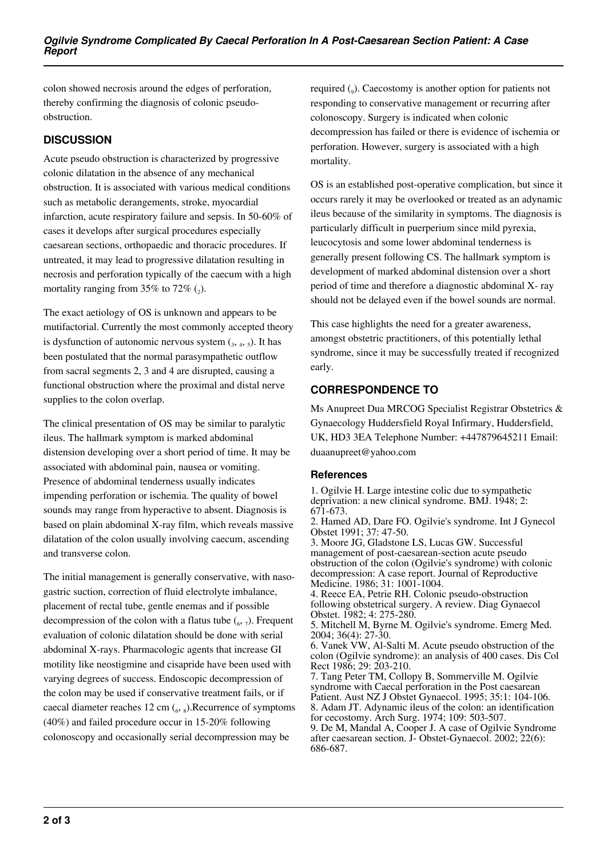colon showed necrosis around the edges of perforation, thereby confirming the diagnosis of colonic pseudoobstruction.

# **DISCUSSION**

Acute pseudo obstruction is characterized by progressive colonic dilatation in the absence of any mechanical obstruction. It is associated with various medical conditions such as metabolic derangements, stroke, myocardial infarction, acute respiratory failure and sepsis. In 50-60% of cases it develops after surgical procedures especially caesarean sections, orthopaedic and thoracic procedures. If untreated, it may lead to progressive dilatation resulting in necrosis and perforation typically of the caecum with a high mortality ranging from 35% to 72%  $(_{2})$ .

The exact aetiology of OS is unknown and appears to be mutifactorial. Currently the most commonly accepted theory is dysfunction of autonomic nervous system  $_{3,4,5}$ ). It has been postulated that the normal parasympathetic outflow from sacral segments 2, 3 and 4 are disrupted, causing a functional obstruction where the proximal and distal nerve supplies to the colon overlap.

The clinical presentation of OS may be similar to paralytic ileus. The hallmark symptom is marked abdominal distension developing over a short period of time. It may be associated with abdominal pain, nausea or vomiting. Presence of abdominal tenderness usually indicates impending perforation or ischemia. The quality of bowel sounds may range from hyperactive to absent. Diagnosis is based on plain abdominal X-ray film, which reveals massive dilatation of the colon usually involving caecum, ascending and transverse colon.

The initial management is generally conservative, with nasogastric suction, correction of fluid electrolyte imbalance, placement of rectal tube, gentle enemas and if possible decompression of the colon with a flatus tube  $\binom{6}{6}$ ,  $\frac{7}{2}$ ). Frequent evaluation of colonic dilatation should be done with serial abdominal X-rays. Pharmacologic agents that increase GI motility like neostigmine and cisapride have been used with varying degrees of success. Endoscopic decompression of the colon may be used if conservative treatment fails, or if caecal diameter reaches  $12 \text{ cm}$  ( $_6$ ,  $_8$ ). Recurrence of symptoms (40%) and failed procedure occur in 15-20% following colonoscopy and occasionally serial decompression may be

required  $(_{9})$ . Caecostomy is another option for patients not responding to conservative management or recurring after colonoscopy. Surgery is indicated when colonic decompression has failed or there is evidence of ischemia or perforation. However, surgery is associated with a high mortality.

OS is an established post-operative complication, but since it occurs rarely it may be overlooked or treated as an adynamic ileus because of the similarity in symptoms. The diagnosis is particularly difficult in puerperium since mild pyrexia, leucocytosis and some lower abdominal tenderness is generally present following CS. The hallmark symptom is development of marked abdominal distension over a short period of time and therefore a diagnostic abdominal X- ray should not be delayed even if the bowel sounds are normal.

This case highlights the need for a greater awareness, amongst obstetric practitioners, of this potentially lethal syndrome, since it may be successfully treated if recognized early.

# **CORRESPONDENCE TO**

Ms Anupreet Dua MRCOG Specialist Registrar Obstetrics & Gynaecology Huddersfield Royal Infirmary, Huddersfield, UK, HD3 3EA Telephone Number: +447879645211 Email: duaanupreet@yahoo.com

#### **References**

1. Ogilvie H. Large intestine colic due to sympathetic deprivation: a new clinical syndrome. BMJ. 1948; 2: 671-673.

2. Hamed AD, Dare FO. Ogilvie's syndrome. Int J Gynecol Obstet 1991; 37: 47-50.

3. Moore JG, Gladstone LS, Lucas GW. Successful management of post-caesarean-section acute pseudo obstruction of the colon (Ogilvie's syndrome) with colonic decompression: A case report. Journal of Reproductive Medicine. 1986; 31: 1001-1004.

4. Reece EA, Petrie RH. Colonic pseudo-obstruction following obstetrical surgery. A review. Diag Gynaecol Obstet. 1982; 4: 275-280.

5. Mitchell M, Byrne M. Ogilvie's syndrome. Emerg Med. 2004; 36(4): 27-30.

6. Vanek VW, Al-Salti M. Acute pseudo obstruction of the colon (Ogilvie syndrome): an analysis of 400 cases. Dis Col Rect 1986; 29: 203-210.

7. Tang Peter TM, Collopy B, Sommerville M. Ogilvie syndrome with Caecal perforation in the Post caesarean Patient. Aust NZ J Obstet Gynaecol. 1995; 35:1: 104-106. 8. Adam JT. Adynamic ileus of the colon: an identification for cecostomy. Arch Surg. 1974; 109: 503-507.

9. De M, Mandal A, Cooper J. A case of Ogilvie Syndrome after caesarean section. J- Obstet-Gynaecol. 2002; 22(6): 686-687.